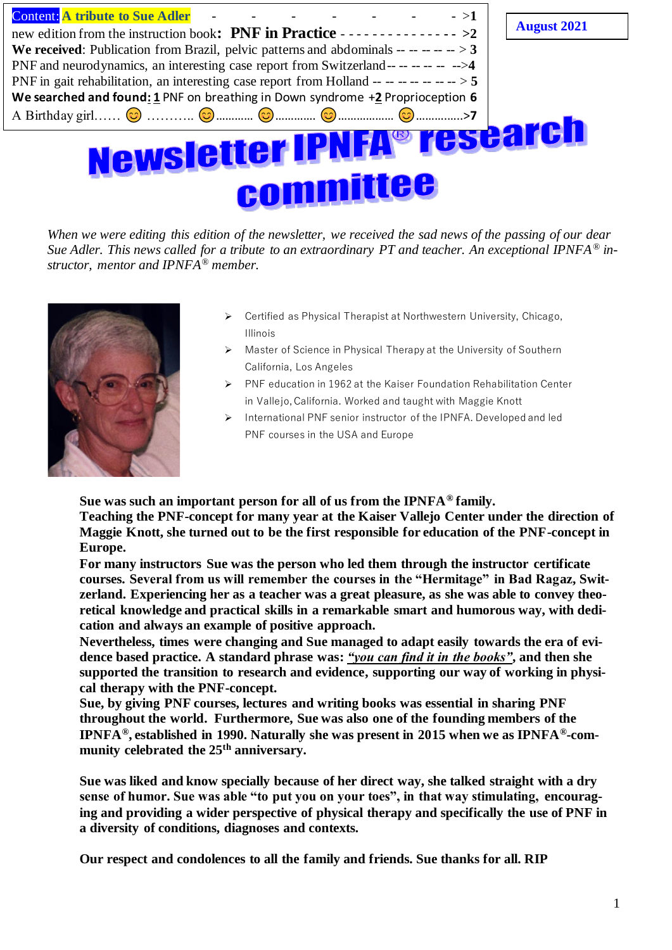| esearch<br>Newsletter IPNFA® A<br>committee                                                |                    |
|--------------------------------------------------------------------------------------------|--------------------|
|                                                                                            |                    |
| We searched and found: 1 PNF on breathing in Down syndrome +2 Proprioception 6             |                    |
| PNF in gait rehabilitation, an interesting case report from Holland -- -- -- -- -- -- -> 5 |                    |
| PNF and neurodynamics, an interesting case report from Switzerland----------------->4      |                    |
| We received: Publication from Brazil, pelvic patterns and abdominals $-------3$            |                    |
| new edition from the instruction book: PNF in Practice - - - - - - - - - - - - - - > > 2   | <b>August 2021</b> |
| <b>Content:</b> A tribute to Sue Adler<br>$->1$                                            |                    |
|                                                                                            |                    |

*When we were editing this edition of the newsletter, we received the sad news of the passing of our dear Sue Adler. This news called for a tribute to an extraordinary PT and teacher. An exceptional IPNFA® instructor, mentor and IPNFA® member.* 



- ➢ Certified as Physical Therapist at Northwestern University, Chicago, Illinois
- ➢ Master of Science in Physical Therapy at the University of Southern California, Los Angeles
- ➢ PNF education in 1962 at the Kaiser Foundation Rehabilitation Center in Vallejo, California. Worked and taught with Maggie Knott
- ➢ International PNF senior instructor of the IPNFA. Developed and led PNF courses in the USA and Europe

**Sue was such an important person for all of us from the IPNFA® family.**

**Teaching the PNF-concept for many year at the Kaiser Vallejo Center under the direction of Maggie Knott, she turned out to be the first responsible for education of the PNF-concept in Europe.**

**For many instructors Sue was the person who led them through the instructor certificate courses. Several from us will remember the courses in the "Hermitage" in Bad Ragaz, Switzerland. Experiencing her as a teacher was a great pleasure, as she was able to convey theoretical knowledge and practical skills in a remarkable smart and humorous way, with dedication and always an example of positive approach.**

**Nevertheless, times were changing and Sue managed to adapt easily towards the era of evidence based practice. A standard phrase was:** *"you can find it in the books"***, and then she supported the transition to research and evidence, supporting our way of working in physical therapy with the PNF-concept.**

**Sue, by giving PNF courses, lectures and writing books was essential in sharing PNF throughout the world. Furthermore, Sue was also one of the founding members of the IPNFA®, established in 1990. Naturally she was present in 2015 when we as IPNFA®-community celebrated the 25th anniversary.**

**Sue was liked and know specially because of her direct way, she talked straight with a dry sense of humor. Sue was able "to put you on your toes", in that way stimulating, encouraging and providing a wider perspective of physical therapy and specifically the use of PNF in a diversity of conditions, diagnoses and contexts.**

**Our respect and condolences to all the family and friends. Sue thanks for all. RIP**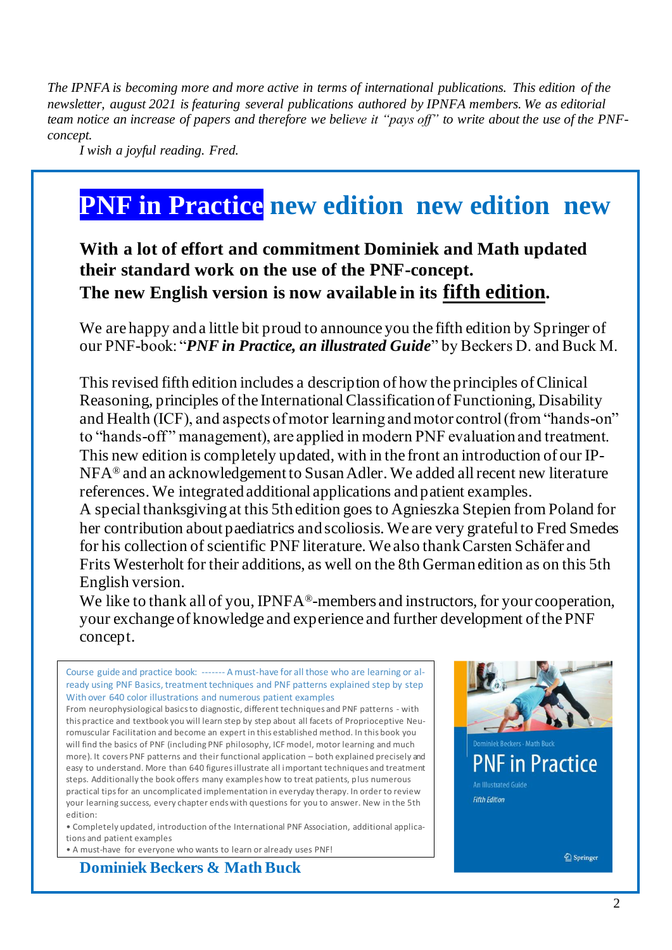*The IPNFA is becoming more and more active in terms of international publications. This edition of the newsletter, august 2021 is featuring several publications authored by IPNFA members. We as editorial team notice an increase of papers and therefore we believe it "pays off" to write about the use of the PNFconcept.*

*I wish a joyful reading. Fred.*

## **PNF in Practice new edition new edition new**

### **With a lot of effort and commitment Dominiek and Math updated their standard work on the use of the PNF-concept. The new English version is now available in its fifth edition.**

We are happy and a little bit proud to announce you the fifth edition by Springer of our PNF-book: "*PNF in Practice, an illustrated Guide*" by Beckers D. and Buck M.

This revised fifth edition includes a description of how the principles of Clinical Reasoning, principles of the International Classification of Functioning, Disability and Health (ICF), and aspects of motor learning and motor control (from "hands-on" to "hands-off " management), are applied in modern PNF evaluation and treatment. This new edition is completely updated, with in the front an introduction of our IP-NFA® and an acknowledgement to Susan Adler. We added all recent new literature references. We integrated additional applications and patient examples.

A special thanksgiving at this 5th edition goes to Agnieszka Stepien from Poland for her contribution about paediatrics and scoliosis. We are very grateful to Fred Smedes for his collection of scientific PNF literature. We also thank Carsten Schäfer and Frits Westerholt for their additions, as well on the 8th German edition as on this 5th English version.

We like to thank all of you, IPNFA®-members and instructors, for your cooperation, your exchange of knowledge and experience and further development of the PNF concept.

Course guide and practice book: ------- A must-have for all those who are learning or already using PNF Basics, treatment techniques and PNF patterns explained step by step With over 640 color illustrations and numerous patient examples

From neurophysiological basics to diagnostic, different techniques and PNF patterns - with this practice and textbook you will learn step by step about all facets of Proprioceptive Neuromuscular Facilitation and become an expert in this established method. In this book you will find the basics of PNF (including PNF philosophy, ICF model, motor learning and much more). It covers PNF patterns and their functional application – both explained precisely and easy to understand. More than 640 figures illustrate all important techniques and treatment steps. Additionally the book offers many examples how to treat patients, plus numerous practical tips for an uncomplicated implementation in everyday therapy. In order to review your learning success, every chapter ends with questions for you to answer. New in the 5th edition:

• Completely updated, introduction of the International PNF Association, additional applications and patient examples

• A must-have for everyone who wants to learn or already uses PNF!

**Dominiek Beckers & Math Buck** 

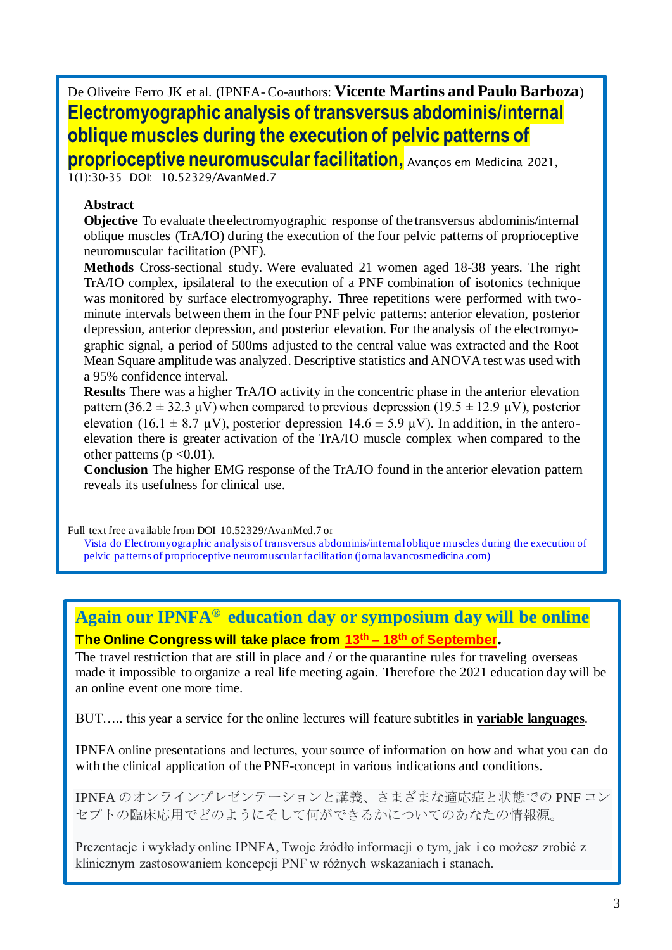De Oliveire Ferro JK et al. (IPNFA- Co-authors: **Vicente Martins and Paulo Barboza**) **Electromyographic analysis of transversus abdominis/internal oblique muscles during the execution of pelvic patterns of** 

**proprioceptive neuromuscular facilitation,** Avanços em Medicina 2021,

1(1):30-35 DOI: 10.52329/AvanMed.7

#### **Abstract**

**Objective** To evaluate the electromyographic response of the transversus abdominis/internal oblique muscles (TrA/IO) during the execution of the four pelvic patterns of proprioceptive neuromuscular facilitation (PNF).

**Methods** Cross-sectional study. Were evaluated 21 women aged 18-38 years. The right TrA/IO complex, ipsilateral to the execution of a PNF combination of isotonics technique was monitored by surface electromyography. Three repetitions were performed with twominute intervals between them in the four PNF pelvic patterns: anterior elevation, posterior depression, anterior depression, and posterior elevation. For the analysis of the electromyographic signal, a period of 500ms adjusted to the central value was extracted and the Root Mean Square amplitude was analyzed. Descriptive statistics and ANOVA test was used with a 95% confidence interval.

**Results** There was a higher TrA/IO activity in the concentric phase in the anterior elevation pattern (36.2  $\pm$  32.3 μV) when compared to previous depression (19.5  $\pm$  12.9 μV), posterior elevation (16.1  $\pm$  8.7 µV), posterior depression 14.6  $\pm$  5.9 µV). In addition, in the anteroelevation there is greater activation of the TrA/IO muscle complex when compared to the other patterns ( $p < 0.01$ ).

**Conclusion** The higher EMG response of the TrA/IO found in the anterior elevation pattern reveals its usefulness for clinical use.

Full text free available from DOI 10.52329/AvanMed.7 or [Vista do Electromyographic analysis of transversus abdominis/internal oblique muscles during the execution of](https://www.jornalavancosmedicina.com/index.php/am/article/view/10/27)  [pelvic patterns of proprioceptive neuromuscular facilitation \(jornalavancosmedicina.com\)](https://www.jornalavancosmedicina.com/index.php/am/article/view/10/27)

### **Again our IPNFA® education day or symposium day will be online The Online Congress will take place from 13th – 18th of September.**

The travel restriction that are still in place and / or the quarantine rules for traveling overseas made it impossible to organize a real life meeting again. Therefore the 2021 education day will be an online event one more time.

BUT….. this year a service for the online lectures will feature subtitles in **variable languages**.

IPNFA online presentations and lectures, your source of information on how and what you can do with the clinical application of the PNF-concept in various indications and conditions.

IPNFA のオンラインプレゼンテーションと講義、さまざまな適応症と状態での PNF コン セプトの臨床応用でどのようにそして何ができるかについてのあなたの情報源。

Prezentacje i wykłady online IPNFA, Twoje źródło informacji o tym, jak i co możesz zrobić z klinicznym zastosowaniem koncepcji PNF w różnych wskazaniach i stanach.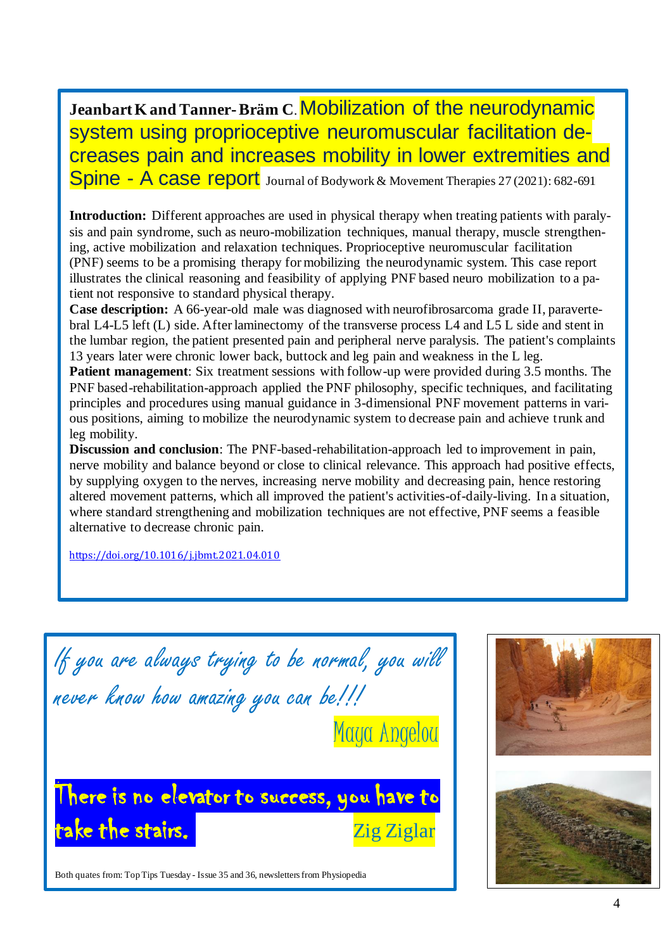Jeanbart K and Tanner-Bräm C. Mobilization of the neurodynamic system using proprioceptive neuromuscular facilitation decreases pain and increases mobility in lower extremities and Spine - A case report Journal of Bodywork & Movement Therapies 27 (2021): 682-691

**Introduction:** Different approaches are used in physical therapy when treating patients with paralysis and pain syndrome, such as neuro-mobilization techniques, manual therapy, muscle strengthening, active mobilization and relaxation techniques. Proprioceptive neuromuscular facilitation (PNF) seems to be a promising therapy for mobilizing the neurodynamic system. This case report illustrates the clinical reasoning and feasibility of applying PNF based neuro mobilization to a patient not responsive to standard physical therapy.

**Case description:** A 66-year-old male was diagnosed with neurofibrosarcoma grade II, paravertebral L4-L5 left (L) side. After laminectomy of the transverse process L4 and L5 L side and stent in the lumbar region, the patient presented pain and peripheral nerve paralysis. The patient's complaints 13 years later were chronic lower back, buttock and leg pain and weakness in the L leg.

**Patient management**: Six treatment sessions with follow-up were provided during 3.5 months. The PNF based-rehabilitation-approach applied the PNF philosophy, specific techniques, and facilitating principles and procedures using manual guidance in 3-dimensional PNF movement patterns in various positions, aiming to mobilize the neurodynamic system to decrease pain and achieve trunk and leg mobility.

**Discussion and conclusion**: The PNF-based-rehabilitation-approach led to improvement in pain, nerve mobility and balance beyond or close to clinical relevance. This approach had positive effects, by supplying oxygen to the nerves, increasing nerve mobility and decreasing pain, hence restoring altered movement patterns, which all improved the patient's activities-of-daily-living. In a situation, where standard strengthening and mobilization techniques are not effective, PNF seems a feasible alternative to decrease chronic pain.

<https://doi.org/10.1016/j.jbmt.2021.04.010>

If you are always trying to be normal, you will never know how amazing you can be!!! Maya Angelou There is no elevator to success, you have to take the stairs. The stairs of the stair of the state of the  $Z$ ig  $Z$ iglar

Both quates from: Top Tips Tuesday - Issue 35 and 36, newsletters from Physiopedia

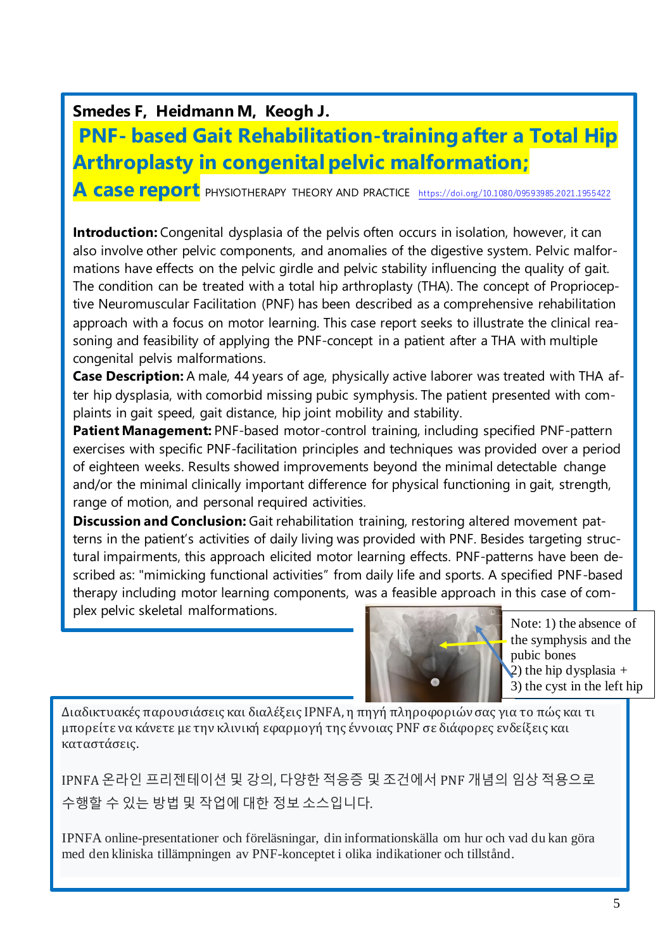**Smedes F, Heidmann M, Keogh J.**

## **PNF- based Gait Rehabilitation-training after a Total Hip Arthroplasty in congenital pelvic malformation;**

**A case report** PHYSIOTHERAPY THEORY AND PRACTICE <https://doi.org/10.1080/09593985.2021.1955422>

**Introduction:** Congenital dysplasia of the pelvis often occurs in isolation, however, it can also involve other pelvic components, and anomalies of the digestive system. Pelvic malformations have effects on the pelvic girdle and pelvic stability influencing the quality of gait. The condition can be treated with a total hip arthroplasty (THA). The concept of Proprioceptive Neuromuscular Facilitation (PNF) has been described as a comprehensive rehabilitation approach with a focus on motor learning. This case report seeks to illustrate the clinical reasoning and feasibility of applying the PNF-concept in a patient after a THA with multiple congenital pelvis malformations.

**Case Description:** A male, 44 years of age, physically active laborer was treated with THA after hip dysplasia, with comorbid missing pubic symphysis. The patient presented with complaints in gait speed, gait distance, hip joint mobility and stability.

**Patient Management:** PNF-based motor-control training, including specified PNF-pattern exercises with specific PNF-facilitation principles and techniques was provided over a period of eighteen weeks. Results showed improvements beyond the minimal detectable change and/or the minimal clinically important difference for physical functioning in gait, strength, range of motion, and personal required activities.

**Discussion and Conclusion:** Gait rehabilitation training, restoring altered movement patterns in the patient's activities of daily living was provided with PNF. Besides targeting structural impairments, this approach elicited motor learning effects. PNF-patterns have been described as: "mimicking functional activities" from daily life and sports. A specified PNF-based therapy including motor learning components, was a feasible approach in this case of complex pelvic skeletal malformations.



Note: 1) the absence of the symphysis and the pubic bones 2) the hip dysplasia  $+$ 3) the cyst in the left hip

Διαδικτυακές παρουσιάσεις και διαλέξεις IPNFA, η πηγή πληροφοριών σας για το πώς και τι μπορείτε να κάνετε με την κλινική εφαρμογή της έννοιας PNF σε διάφορες ενδείξεις και καταστάσεις.

IPNFA 온라인 프리젠테이션 및 강의, 다양한 적응증 및 조건에서 PNF 개념의 임상 적용으로 수행할 수 있는 방법 및 작업에 대한 정보 소스입니다.

IPNFA online-presentationer och föreläsningar, din informationskälla om hur och vad du kan göra med den kliniska tillämpningen av PNF-konceptet i olika indikationer och tillstånd.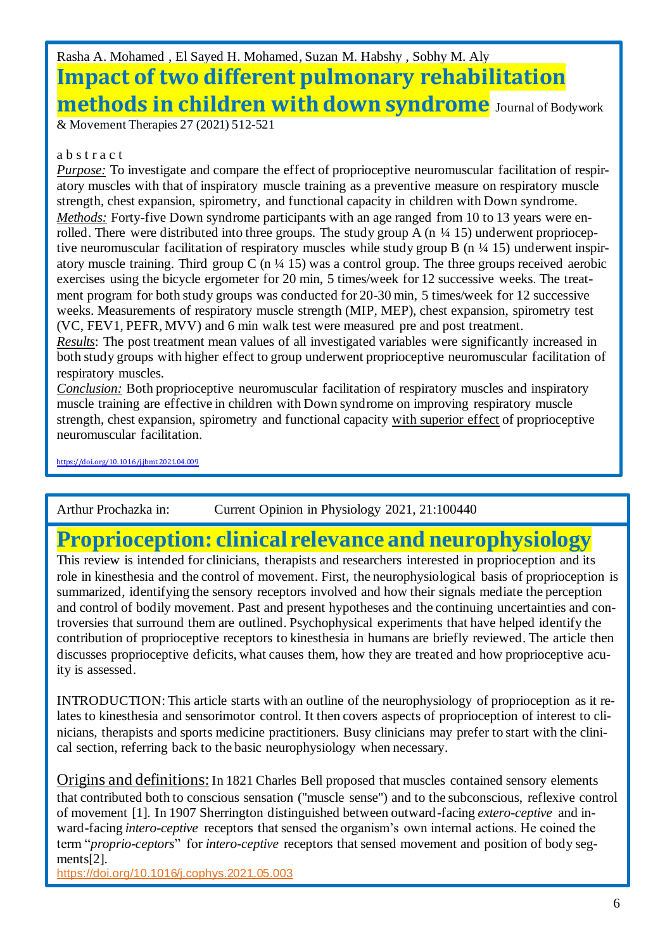## Rasha A. Mohamed , El Sayed H. Mohamed, Suzan M. Habshy , Sobhy M. Aly **Impact of two different pulmonary rehabilitation methods in children with down syndrome** Journal of Bodywork

& Movement Therapies 27 (2021) 512-521

#### a b s t r a c t

*Purpose:* To investigate and compare the effect of proprioceptive neuromuscular facilitation of respiratory muscles with that of inspiratory muscle training as a preventive measure on respiratory muscle strength, chest expansion, spirometry, and functional capacity in children with Down syndrome. *Methods:* Forty-five Down syndrome participants with an age ranged from 10 to 13 years were enrolled. There were distributed into three groups. The study group A  $(n \frac{1}{4} 15)$  underwent proprioceptive neuromuscular facilitation of respiratory muscles while study group B (n ¼ 15) underwent inspiratory muscle training. Third group C (n  $\frac{1}{4}$  15) was a control group. The three groups received aerobic exercises using the bicycle ergometer for 20 min, 5 times/week for 12 successive weeks. The treatment program for both study groups was conducted for 20-30 min, 5 times/week for 12 successive weeks. Measurements of respiratory muscle strength (MIP, MEP), chest expansion, spirometry test (VC, FEV1, PEFR, MVV) and 6 min walk test were measured pre and post treatment.

*Results*: The post treatment mean values of all investigated variables were significantly increased in both study groups with higher effect to group underwent proprioceptive neuromuscular facilitation of respiratory muscles.

*Conclusion:* Both proprioceptive neuromuscular facilitation of respiratory muscles and inspiratory muscle training are effective in children with Down syndrome on improving respiratory muscle strength, chest expansion, spirometry and functional capacity with superior effect of proprioceptive neuromuscular facilitation.

https://doi.org/10.1016/j.jbmt2021.04.009

Arthur Prochazka in: Current Opinion in Physiology 2021, 21:100440

## **[Proprioception: clinical relevance and neurophysiology](https://www.sciencedirect.com/science/journal/24688673)**

This review is intended for clinicians, therapists and researchers interested in proprioception and its role in kinesthesia and the control of movement. First, the neurophysiological basis of proprioception is summarized, identifying the sensory receptors involved and how their signals mediate the perception and control of bodily movement. Past and present hypotheses and the continuing uncertainties and controversies that surround them are outlined. Psychophysical experiments that have helped identify the contribution of proprioceptive receptors to kinesthesia in humans are briefly reviewed. The article then discusses proprioceptive deficits, what causes them, how they are treated and how proprioceptive acuity is assessed.

INTRODUCTION: This article starts with an outline of the neurophysiology of proprioception as it relates to kinesthesia and sensorimotor control. It then covers aspects of proprioception of interest to clinicians, therapists and sports medicine practitioners. Busy clinicians may prefer to start with the clinical section, referring back to the basic neurophysiology when necessary.

Origins and definitions: In 1821 Charles Bell proposed that muscles contained sensory elements that contributed both to conscious sensation ("muscle sense") and to the subconscious, reflexive control of movement [1]. In 1907 Sherrington distinguished between outward-facing *extero-ceptive* and inward-facing *intero-ceptive* receptors that sensed the organism's own internal actions. He coined the term "*proprio-ceptors*" for *intero-ceptive* receptors that sensed movement and position of body segments[2].

<https://doi.org/10.1016/j.cophys.2021.05.003>